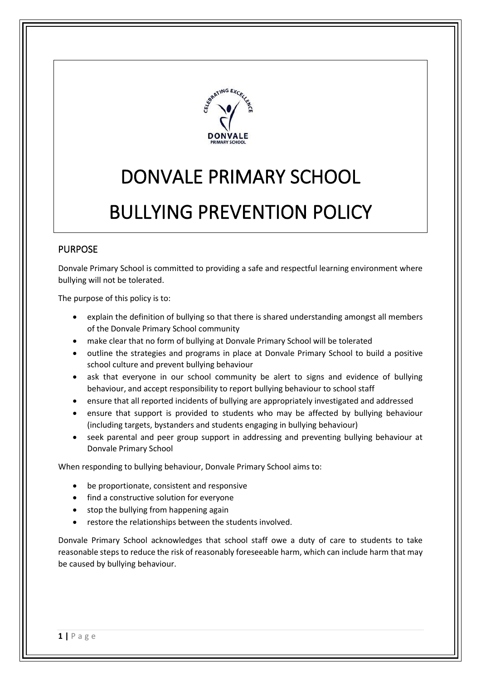

# DONVALE PRIMARY SCHOOL

# BULLYING PREVENTION POLICY

# PURPOSE

Donvale Primary School is committed to providing a safe and respectful learning environment where bullying will not be tolerated.

The purpose of this policy is to:

- explain the definition of bullying so that there is shared understanding amongst all members of the Donvale Primary School community
- make clear that no form of bullying at Donvale Primary School will be tolerated
- outline the strategies and programs in place at Donvale Primary School to build a positive school culture and prevent bullying behaviour
- ask that everyone in our school community be alert to signs and evidence of bullying behaviour, and accept responsibility to report bullying behaviour to school staff
- ensure that all reported incidents of bullying are appropriately investigated and addressed
- ensure that support is provided to students who may be affected by bullying behaviour (including targets, bystanders and students engaging in bullying behaviour)
- seek parental and peer group support in addressing and preventing bullying behaviour at Donvale Primary School

When responding to bullying behaviour, Donvale Primary School aims to:

- be proportionate, consistent and responsive
- find a constructive solution for everyone
- stop the bullying from happening again
- restore the relationships between the students involved.

Donvale Primary School acknowledges that school staff owe a duty of care to students to take reasonable steps to reduce the risk of reasonably foreseeable harm, which can include harm that may be caused by bullying behaviour.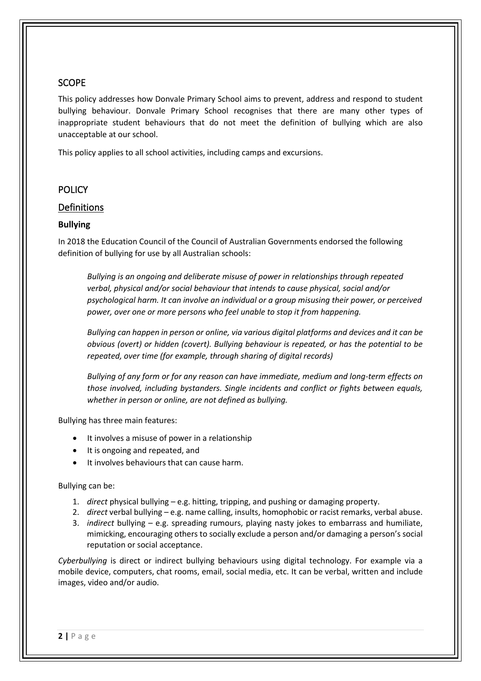# SCOPE

This policy addresses how Donvale Primary School aims to prevent, address and respond to student bullying behaviour. Donvale Primary School recognises that there are many other types of inappropriate student behaviours that do not meet the definition of bullying which are also unacceptable at our school.

This policy applies to all school activities, including camps and excursions.

## **POLICY**

## Definitions

#### **Bullying**

In 2018 the Education Council of the Council of Australian Governments endorsed the following definition of bullying for use by all Australian schools:

*Bullying is an ongoing and deliberate misuse of power in relationships through repeated verbal, physical and/or social behaviour that intends to cause physical, social and/or psychological harm. It can involve an individual or a group misusing their power, or perceived power, over one or more persons who feel unable to stop it from happening.*

*Bullying can happen in person or online, via various digital platforms and devices and it can be obvious (overt) or hidden (covert). Bullying behaviour is repeated, or has the potential to be repeated, over time (for example, through sharing of digital records)*

*Bullying of any form or for any reason can have immediate, medium and long-term effects on those involved, including bystanders. Single incidents and conflict or fights between equals, whether in person or online, are not defined as bullying.*

Bullying has three main features:

- It involves a misuse of power in a relationship
- It is ongoing and repeated, and
- It involves behaviours that can cause harm.

#### Bullying can be:

- 1. *direct* physical bullying e.g. hitting, tripping, and pushing or damaging property.
- 2. *direct* verbal bullying e.g. name calling, insults, homophobic or racist remarks, verbal abuse.
- 3. *indirect* bullying e.g. spreading rumours, playing nasty jokes to embarrass and humiliate, mimicking, encouraging others to socially exclude a person and/or damaging a person's social reputation or social acceptance.

*Cyberbullying* is direct or indirect bullying behaviours using digital technology. For example via a mobile device, computers, chat rooms, email, social media, etc. It can be verbal, written and include images, video and/or audio.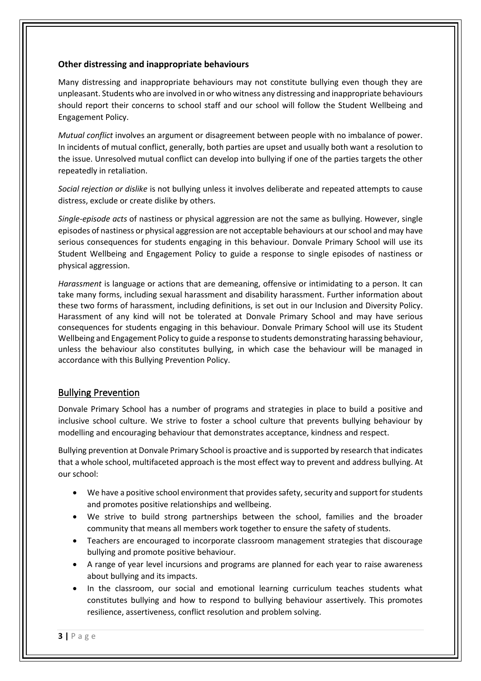#### **Other distressing and inappropriate behaviours**

Many distressing and inappropriate behaviours may not constitute bullying even though they are unpleasant. Students who are involved in or who witness any distressing and inappropriate behaviours should report their concerns to school staff and our school will follow the Student Wellbeing and Engagement Policy.

*Mutual conflict* involves an argument or disagreement between people with no imbalance of power. In incidents of mutual conflict, generally, both parties are upset and usually both want a resolution to the issue. Unresolved mutual conflict can develop into bullying if one of the parties targets the other repeatedly in retaliation.

*Social rejection or dislike* is not bullying unless it involves deliberate and repeated attempts to cause distress, exclude or create dislike by others.

*Single-episode acts* of nastiness or physical aggression are not the same as bullying. However, single episodes of nastiness or physical aggression are not acceptable behaviours at our school and may have serious consequences for students engaging in this behaviour. Donvale Primary School will use its Student Wellbeing and Engagement Policy to guide a response to single episodes of nastiness or physical aggression.

*Harassment* is language or actions that are demeaning, offensive or intimidating to a person. It can take many forms, including sexual harassment and disability harassment. Further information about these two forms of harassment, including definitions, is set out in our Inclusion and Diversity Policy. Harassment of any kind will not be tolerated at Donvale Primary School and may have serious consequences for students engaging in this behaviour. Donvale Primary School will use its Student Wellbeing and Engagement Policy to guide a response to students demonstrating harassing behaviour, unless the behaviour also constitutes bullying, in which case the behaviour will be managed in accordance with this Bullying Prevention Policy.

# Bullying Prevention

Donvale Primary School has a number of programs and strategies in place to build a positive and inclusive school culture. We strive to foster a school culture that prevents bullying behaviour by modelling and encouraging behaviour that demonstrates acceptance, kindness and respect.

Bullying prevention at Donvale Primary School is proactive and is supported by research that indicates that a whole school, multifaceted approach is the most effect way to prevent and address bullying. At our school:

- We have a positive school environment that provides safety, security and support for students and promotes positive relationships and wellbeing.
- We strive to build strong partnerships between the school, families and the broader community that means all members work together to ensure the safety of students.
- Teachers are encouraged to incorporate classroom management strategies that discourage bullying and promote positive behaviour.
- A range of year level incursions and programs are planned for each year to raise awareness about bullying and its impacts.
- In the classroom, our social and emotional learning curriculum teaches students what constitutes bullying and how to respond to bullying behaviour assertively. This promotes resilience, assertiveness, conflict resolution and problem solving.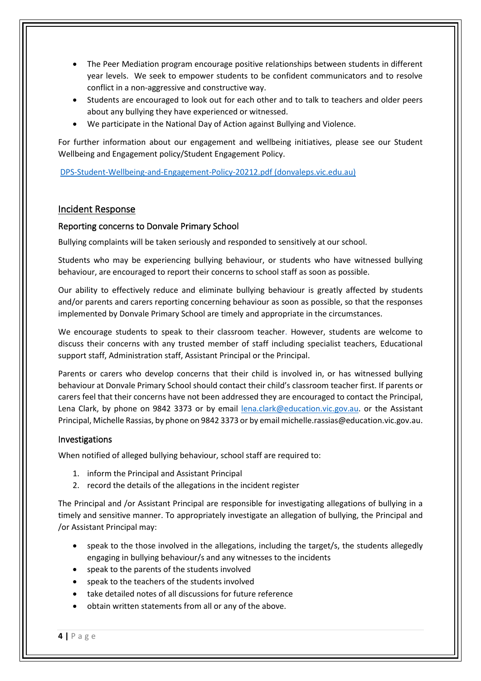- The Peer Mediation program encourage positive relationships between students in different year levels. We seek to empower students to be confident communicators and to resolve conflict in a non-aggressive and constructive way.
- Students are encouraged to look out for each other and to talk to teachers and older peers about any bullying they have experienced or witnessed.
- We participate in the National Day of Action against Bullying and Violence.

For further information about our engagement and wellbeing initiatives, please see our Student Wellbeing and Engagement policy/Student Engagement Policy.

[DPS-Student-Wellbeing-and-Engagement-Policy-20212.pdf \(donvaleps.vic.edu.au\)](http://donvaleps.vic.edu.au/wp-content/uploads/2011/03/DPS-Student-Wellbeing-and-Engagement-Policy-20212.pdf)

## Incident Response

#### Reporting concerns to Donvale Primary School

Bullying complaints will be taken seriously and responded to sensitively at our school.

Students who may be experiencing bullying behaviour, or students who have witnessed bullying behaviour, are encouraged to report their concerns to school staff as soon as possible.

Our ability to effectively reduce and eliminate bullying behaviour is greatly affected by students and/or parents and carers reporting concerning behaviour as soon as possible, so that the responses implemented by Donvale Primary School are timely and appropriate in the circumstances.

We encourage students to speak to their classroom teacher. However, students are welcome to discuss their concerns with any trusted member of staff including specialist teachers, Educational support staff, Administration staff, Assistant Principal or the Principal.

Parents or carers who develop concerns that their child is involved in, or has witnessed bullying behaviour at Donvale Primary School should contact their child's classroom teacher first. If parents or carers feel that their concerns have not been addressed they are encouraged to contact the Principal, Lena Clark, by phone on 9842 3373 or by email [lena.clark@education.vic.gov.au.](mailto:lena.clark@education.vic.gov.au) or the Assistant Principal, Michelle Rassias, by phone on 9842 3373 or by email michelle.rassias@education.vic.gov.au.

#### Investigations

When notified of alleged bullying behaviour, school staff are required to:

- 1. inform the Principal and Assistant Principal
- 2. record the details of the allegations in the incident register

The Principal and /or Assistant Principal are responsible for investigating allegations of bullying in a timely and sensitive manner. To appropriately investigate an allegation of bullying, the Principal and /or Assistant Principal may:

- speak to the those involved in the allegations, including the target/s, the students allegedly engaging in bullying behaviour/s and any witnesses to the incidents
- speak to the parents of the students involved
- speak to the teachers of the students involved
- take detailed notes of all discussions for future reference
- obtain written statements from all or any of the above.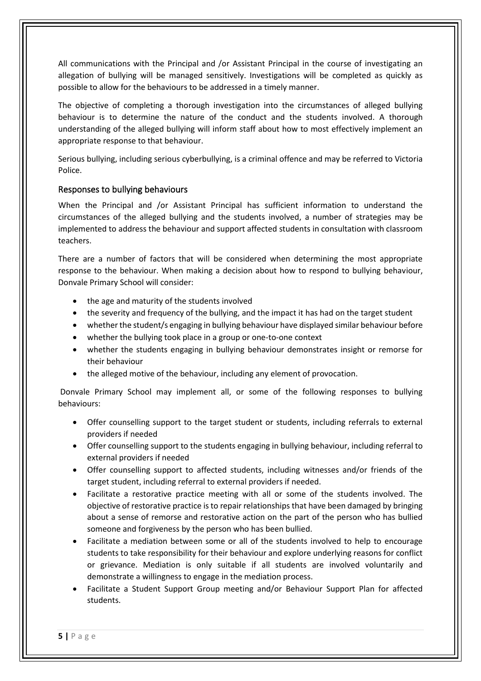All communications with the Principal and /or Assistant Principal in the course of investigating an allegation of bullying will be managed sensitively. Investigations will be completed as quickly as possible to allow for the behaviours to be addressed in a timely manner.

The objective of completing a thorough investigation into the circumstances of alleged bullying behaviour is to determine the nature of the conduct and the students involved. A thorough understanding of the alleged bullying will inform staff about how to most effectively implement an appropriate response to that behaviour.

Serious bullying, including serious cyberbullying, is a criminal offence and may be referred to Victoria Police.

#### Responses to bullying behaviours

When the Principal and /or Assistant Principal has sufficient information to understand the circumstances of the alleged bullying and the students involved, a number of strategies may be implemented to address the behaviour and support affected students in consultation with classroom teachers.

There are a number of factors that will be considered when determining the most appropriate response to the behaviour. When making a decision about how to respond to bullying behaviour, Donvale Primary School will consider:

- the age and maturity of the students involved
- the severity and frequency of the bullying, and the impact it has had on the target student
- whether the student/s engaging in bullying behaviour have displayed similar behaviour before
- whether the bullying took place in a group or one-to-one context
- whether the students engaging in bullying behaviour demonstrates insight or remorse for their behaviour
- the alleged motive of the behaviour, including any element of provocation.

Donvale Primary School may implement all, or some of the following responses to bullying behaviours:

- Offer counselling support to the target student or students, including referrals to external providers if needed
- Offer counselling support to the students engaging in bullying behaviour, including referral to external providers if needed
- Offer counselling support to affected students, including witnesses and/or friends of the target student, including referral to external providers if needed.
- Facilitate a restorative practice meeting with all or some of the students involved. The objective of restorative practice is to repair relationships that have been damaged by bringing about a sense of remorse and restorative action on the part of the person who has bullied someone and forgiveness by the person who has been bullied.
- Facilitate a mediation between some or all of the students involved to help to encourage students to take responsibility for their behaviour and explore underlying reasons for conflict or grievance. Mediation is only suitable if all students are involved voluntarily and demonstrate a willingness to engage in the mediation process.
- Facilitate a Student Support Group meeting and/or Behaviour Support Plan for affected students.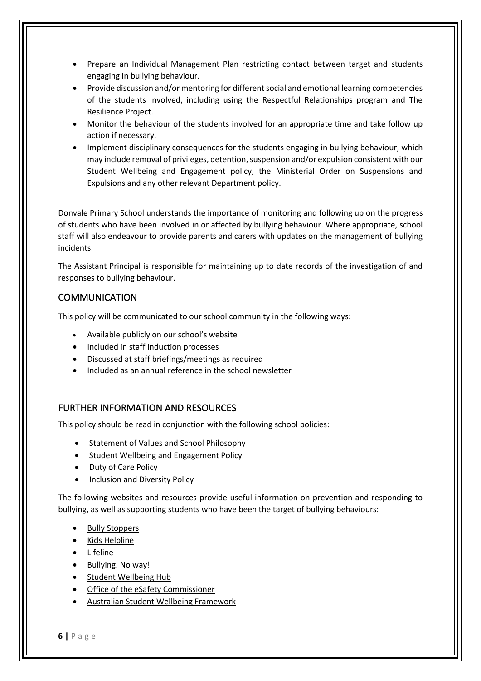- Prepare an Individual Management Plan restricting contact between target and students engaging in bullying behaviour.
- Provide discussion and/or mentoring for different social and emotional learning competencies of the students involved, including using the Respectful Relationships program and The Resilience Project.
- Monitor the behaviour of the students involved for an appropriate time and take follow up action if necessary.
- Implement disciplinary consequences for the students engaging in bullying behaviour, which may include removal of privileges, detention, suspension and/or expulsion consistent with our Student Wellbeing and Engagement policy, the Ministerial Order on Suspensions and Expulsions and any other relevant Department policy.

Donvale Primary School understands the importance of monitoring and following up on the progress of students who have been involved in or affected by bullying behaviour. Where appropriate, school staff will also endeavour to provide parents and carers with updates on the management of bullying incidents.

The Assistant Principal is responsible for maintaining up to date records of the investigation of and responses to bullying behaviour.

# COMMUNICATION

This policy will be communicated to our school community in the following ways:

- Available publicly on our school's website
- Included in staff induction processes
- Discussed at staff briefings/meetings as required
- Included as an annual reference in the school newsletter

# FURTHER INFORMATION AND RESOURCES

This policy should be read in conjunction with the following school policies:

- Statement of Values and School Philosophy
- Student Wellbeing and Engagement Policy
- Duty of Care Policy
- Inclusion and Diversity Policy

The following websites and resources provide useful information on prevention and responding to bullying, as well as supporting students who have been the target of bullying behaviours:

- [Bully Stoppers](https://www.education.vic.gov.au/about/programs/bullystoppers/Pages/default.aspx)
- [Kids Helpline](https://kidshelpline.com.au/)
- [Lifeline](https://www.lifeline.org.au/)
- [Bullying. No way!](https://bullyingnoway.gov.au/)
- [Student Wellbeing Hub](https://www.studentwellbeinghub.edu.au/)
- [Office of the eSafety Commissioner](https://www.esafety.gov.au/)
- [Australian Student Wellbeing Framework](https://studentwellbeinghub.edu.au/educators/resources/australian-student-wellbeing-framework/)